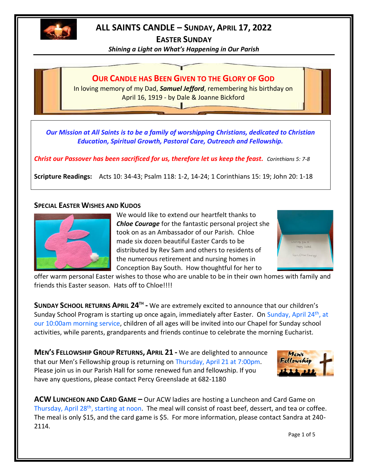

# **ALL SAINTS CANDLE – SUNDAY, APRIL 17, 2022**

**EASTER SUNDAY**

*Shining a Light on What's Happening in Our Parish*



*Our Mission at All Saints is to be a family of worshipping Christians, dedicated to Christian Education, Spiritual Growth, Pastoral Care, Outreach and Fellowship.*

*Christ our Passover has been sacrificed for us, therefore let us keep the feast. Corinthians 5: 7-8*

**Scripture Readings:** Acts 10: 34-43; Psalm 118: 1-2, 14-24; 1 Corinthians 15: 19; John 20: 1-18

## **SPECIAL EASTER WISHES AND KUDOS**



We would like to extend our heartfelt thanks to *Chloe Courage* for the fantastic personal project she took on as an Ambassador of our Parish. Chloe made six dozen beautiful Easter Cards to be distributed by Rev Sam and others to residents of the numerous retirement and nursing homes in Conception Bay South. How thoughtful for her to



offer warm personal Easter wishes to those who are unable to be in their own homes with family and friends this Easter season. Hats off to Chloe!!!!

**SUNDAY SCHOOL RETURNS APRIL 24TH -** We are extremely excited to announce that our children's Sunday School Program is starting up once again, immediately after Easter. On Sunday, April 24th, at our 10:00am morning service, children of all ages will be invited into our Chapel for Sunday school activities, while parents, grandparents and friends continue to celebrate the morning Eucharist.

**MEN'S FELLOWSHIP GROUP RETURNS, APRIL 21 -** We are delighted to announce that our Men's Fellowship group is returning on Thursday, April 21 at 7:00pm. Please join us in our Parish Hall for some renewed fun and fellowship. If you have any questions, please contact Percy Greenslade at 682-1180



**ACW LUNCHEON AND CARD GAME –** Our ACW ladies are hosting a Luncheon and Card Game on Thursday, April 28<sup>th</sup>, starting at noon. The meal will consist of roast beef, dessert, and tea or coffee. The meal is only \$15, and the card game is \$5. For more information, please contact Sandra at 240- 2114.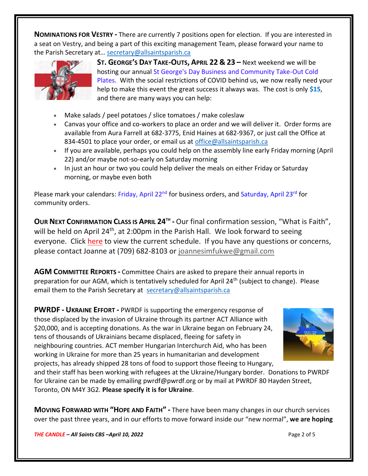**NOMINATIONS FOR VESTRY -** There are currently 7 positions open for election. If you are interested in a seat on Vestry, and being a part of this exciting management Team, please forward your name to the Parish Secretary at... [secretary@allsaintsparish.ca](mailto:Nominations%20for%20Vestry%20%20There%20are%20currently%207%20positions%20open%20for%20election.%20%20If%20you%20are%20interested%20in%20a%20seat%20on%20Vestry,%20and%20being%20a%20part%20of%20this%20exciting%20management%20Team,%20please%20forward%20your%20name%20to%20the%20Parish%20Secretary%20at…%20secretary@allsaintsparish.ca%20%20?subject=Nominations%20for%20Vestry)



**ST. GEORGE'S DAY TAKE-OUTS, APRIL 22 & 23 –** Next weekend we will be hosting our annual St George's Day Business and Community Take-Out Cold Plates. With the social restrictions of COVID behind us, we now really need your help to make this event the great success it always was. The cost is only **\$15**, and there are many ways you can help:

- Make salads / peel potatoes / slice tomatoes / make coleslaw
- Canvas your office and co-workers to place an order and we will deliver it. Order forms are available from Aura Farrell at 682-3775, Enid Haines at 682-9367, or just call the Office at 834-4501 to place your order, or email us at [office@allsaintsparish.ca](mailto:office@allsaintsparish.ca?subject=St%20George)
- If you are available, perhaps you could help on the assembly line early Friday morning (April 22) and/or maybe not-so-early on Saturday morning
- In just an hour or two you could help deliver the meals on either Friday or Saturday morning, or maybe even both

Please mark your calendars: Friday, April 22<sup>nd</sup> for business orders, and Saturday, April 23<sup>rd</sup> for community orders.

**OUR NEXT CONFIRMATION CLASS IS APRIL 24TH -** Our final confirmation session, "What is Faith", will be held on April 24<sup>th</sup>, at 2:00pm in the Parish Hall. We look forward to seeing everyone. Click [here](http://allsaintsparish.ca/document_library/Confirmation%20Schedule%20220227.pdf) to view the current schedule. If you have any questions or concerns, please contact Joanne at (709) 682-8103 or [joannesimfukwe@gmail.com](mailto:joannesimfukwe@gmail.com)

**AGM COMMITTEE REPORTS -** Committee Chairs are asked to prepare their annual reports in preparation for our AGM, which is tentatively scheduled for April 24<sup>th</sup> (subject to change). Please email them to the Parish Secretary at [secretary@allsaintsparish.ca](mailto:Committee%20Chairs%20are%20asked%20to%20prepare%20their%20annual%20reports%20in%20preparation%20for%20our%20AGM,%20which%20is%20tentatively%20scheduled%20for%20April%2024th%20(subject%20to%20change).%20%20Please%20email%20them%20to%20the%20Parish%20Secretary%20at%20secretary@allsaintsparish.ca%20%20?subject=AGM%20Committee%20Report)

**PWRDF - UKRAINE EFFORT -** PWRDF is supporting the emergency response of those displaced by the invasion of Ukraine through its partner ACT Alliance with \$20,000, and is accepting donations. As the war in Ukraine began on February 24, tens of thousands of Ukrainians became displaced, fleeing for safety in neighbouring countries. ACT member Hungarian Interchurch Aid, who has been working in Ukraine for more than 25 years in humanitarian and development projects, has already shipped 28 tons of food to support those fleeing to Hungary,



and their staff has been working with refugees at the Ukraine/Hungary border. Donations to PWRDF for Ukraine can be made by emailing pwrdf@pwrdf.org or by mail at PWRDF 80 Hayden Street, Toronto, ON M4Y 3G2. **Please specify it is for Ukraine**.

**MOVING FORWARD WITH "HOPE AND FAITH" -** There have been many changes in our church services over the past three years, and in our efforts to move forward inside our "new normal", **we are hoping** 

*THE CANDLE – All Saints CBS –April 10, 2022* Page 2 of 5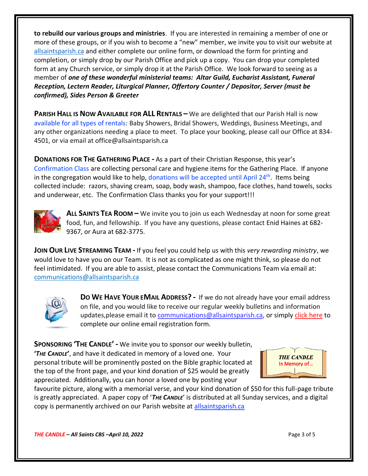**to rebuild our various groups and ministries**. If you are interested in remaining a member of one or more of these groups, or if you wish to become a "new" member, we invite you to visit our website at [allsaintsparish.ca](/Users/ralphfagan/Documents/All%20Saints%20Parish/Candle/ASP%202022%20Candle/allsaintsparish.ca) and either complete our online form, or download the form for printing and completion, or simply drop by our Parish Office and pick up a copy. You can drop your completed form at any Church service, or simply drop it at the Parish Office. We look forward to seeing as a member of *one of these wonderful ministerial teams: Altar Guild, Eucharist Assistant, Funeral Reception, Lectern Reader, Liturgical Planner, Offertory Counter / Depositor, Server (must be confirmed), Sides Person & Greeter*

**PARISH HALL IS NOW AVAILABLE FOR ALL RENTALS – We are delighted that our Parish Hall is now** available for all types of rentals: Baby Showers, Bridal Showers, Weddings, Business Meetings, and any other organizations needing a place to meet. To place your booking, please call our Office at 834- 4501, or via email at office@allsaintsparish.ca

**DONATIONS FOR THE GATHERING PLACE -** As a part of their Christian Response, this year's Confirmation Class are collecting personal care and hygiene items for the Gathering Place. If anyone in the congregation would like to help, donations will be accepted until April 24<sup>th</sup>. Items being collected include: razors, shaving cream, soap, body wash, shampoo, face clothes, hand towels, socks and underwear, etc. The Confirmation Class thanks you for your support!!!



**ALL SAINTS TEA ROOM –** We invite you to join us each Wednesday at noon for some great food, fun, and fellowship. If you have any questions, please contact Enid Haines at 682- 9367, or Aura at 682-3775.

**JOIN OUR LIVE STREAMING TEAM -** If you feel you could help us with this *very rewarding ministry*, we would love to have you on our Team. It is not as complicated as one might think, so please do not feel intimidated. If you are able to assist, please contact the Communications Team via email at: [communications@allsaintsparish.ca](mailto:communications@allsaintsparish.ca?subject=Live%20Streaming%20Team) 



**DO WE HAVE YOUR EMAIL ADDRESS? -** If we do not already have your email address on file, and you would like to receive our regular weekly bulletins and information updates,please email it to [communications@allsaintsparish.ca,](mailto:communications@allsaintsparish.ca?subject=eMail%20Address%20Update) or simply [click here](http://allsaintsparish.ca/email_updates) to complete our online email registration form.

**SPONSORING 'THE CANDLE' -** We invite you to sponsor our weekly bulletin, **'***THE CANDLE***'**, and have it dedicated in memory of a loved one. Your personal tribute will be prominently posted on the Bible graphic located at the top of the front page, and your kind donation of \$25 would be greatly



appreciated. Additionally, you can honor a loved one by posting your

favourite picture, along with a memorial verse, and your kind donation of \$50 for this full-page tribute is greatly appreciated. A paper copy of '*THE CANDLE*' is distributed at all Sunday services, and a digital copy is permanently archived on our Parish website at [allsaintsparish.ca](http://allsaintsparish.ca/thecandle.html)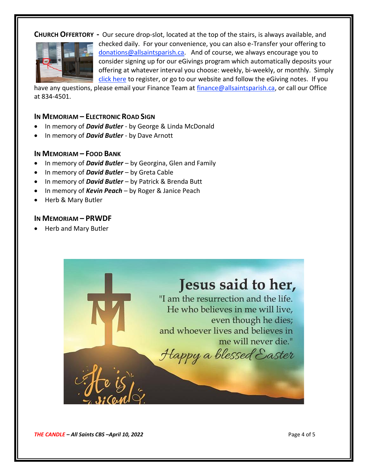# **CHURCH OFFERTORY -** Our secure drop-slot, located at the top of the stairs, is always available, and checked daily. For your convenience, you can also e-Transfer your offering to [donations@allsaintsparish.ca.](mailto:donations@allsaintsparish.ca) And of course, we always encourage you to consider signing up for our eGivings program which automatically deposits your offering at whatever interval you choose: weekly, bi-weekly, or monthly. Simply [click here](http://allsaintsparish.ca/egiving-online-information-form) to register, or go to our website and follow the eGiving notes. If you

have [any](https://wfsites-to.websitecreatorprotool.com/870a5dd5.com/Admin/%7BSK_NODEID__22939341__SK%7D) questions, please email your Finance Team at [finance@allsaintsparish.ca,](mailto:finance@allsaintsparish.ca) or call our Office at 834-4501.

### **IN MEMORIAM – ELECTRONIC ROAD SIGN**

- In memory of *David Butler* by George & Linda McDonald
- In memory of *David Butler* by Dave Arnott

#### **IN MEMORIAM – FOOD BANK**

- In memory of *David Butler* by Georgina, Glen and Family
- In memory of *David Butler* by Greta Cable
- In memory of *David Butler* by Patrick & Brenda Butt
- In memory of *Kevin Peach* by Roger & Janice Peach
- Herb & Mary Butler

#### **IN MEMORIAM – PRWDF**

• Herb and Mary Butler

# Jesus said to her,

"I am the resurrection and the life. He who believes in me will live. even though he dies; and whoever lives and believes in me will never die."

Happy a blessed Easter

*THE CANDLE – All Saints CBS –April 10, 2022* Page 4 of 5